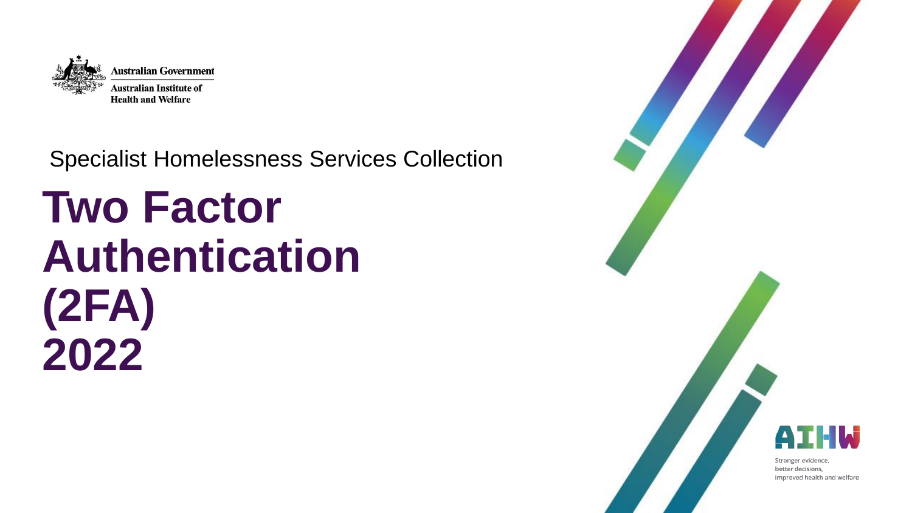

#### Specialist Homelessness Services Collection

# **Two Factor Authentication (2FA) 2022**

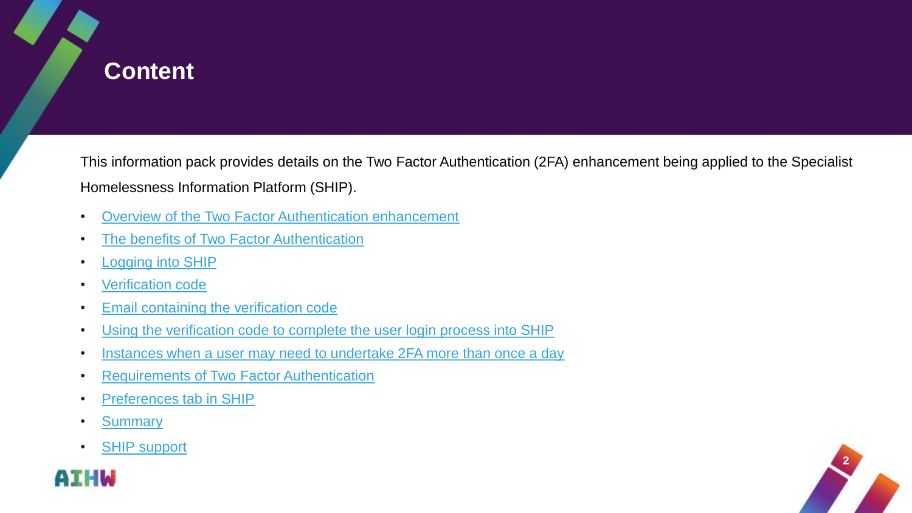<span id="page-1-0"></span>

This information pack provides details on the Two Factor Authentication (2FA) enhancement being applied to the Specialist Homelessness Information Platform (SHIP).

- [Overview of the Two Factor Authentication enhancement](#page-2-0)
- [The benefits of Two Factor Authentication](#page-3-0)
- **Logging into SHIP**
- [Verification code](#page-5-0)
- [Email containing the verification code](#page-6-0)
- [Using the verification code to complete the user login process into SHIP](#page-7-0)
- [Instances when a user may need to undertake 2FA more than once a day](#page-8-0)
- [Requirements of Two Factor Authentication](#page-9-0)
- [Preferences tab in SHIP](#page-10-0)
- [Summary](#page-11-0)
- SHIP [support](#page-12-0)



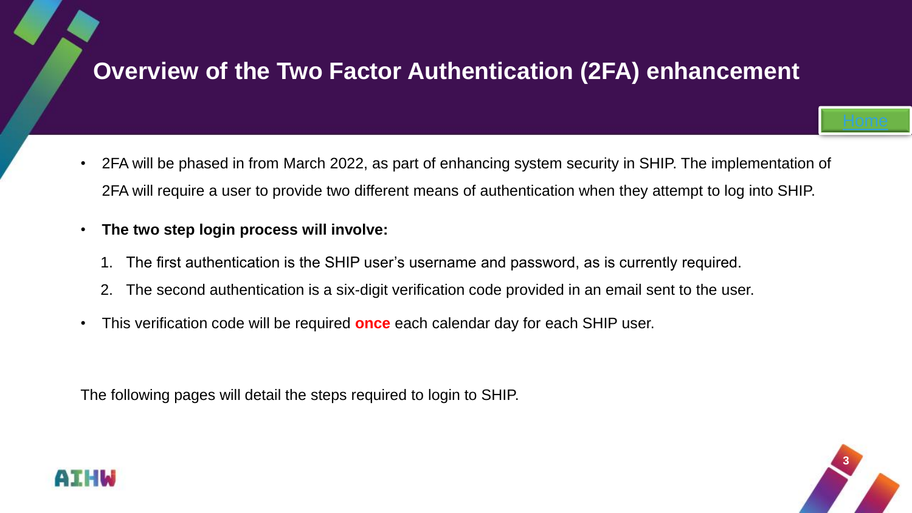### <span id="page-2-0"></span>**Overview of the Two Factor Authentication (2FA) enhancement**

- 2FA will be phased in from March 2022, as part of enhancing system security in SHIP. The implementation of 2FA will require a user to provide two different means of authentication when they attempt to log into SHIP.
- **The two step login process will involve:**
	- 1. The first authentication is the SHIP user's username and password, as is currently required.
	- 2. The second authentication is a six-digit verification code provided in an email sent to the user.
- This verification code will be required **once** each calendar day for each SHIP user.

The following pages will detail the steps required to login to SHIP.



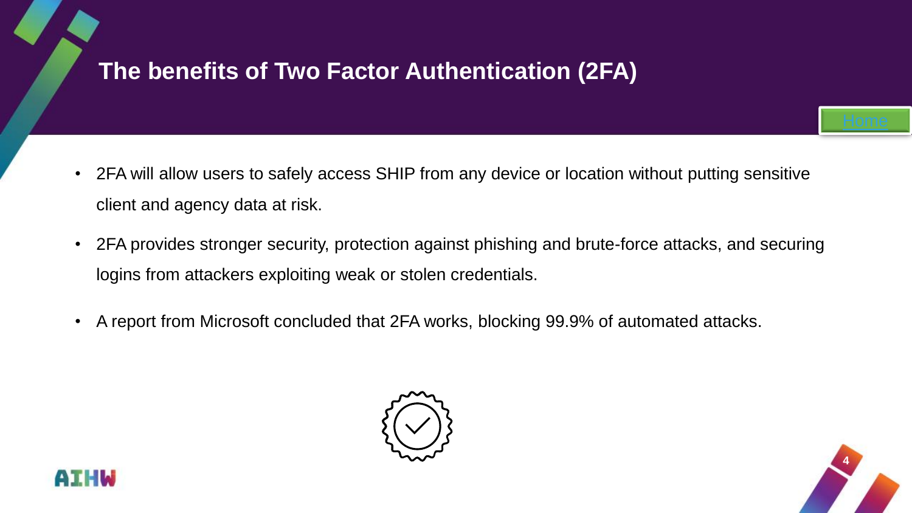## <span id="page-3-0"></span>**The benefits of Two Factor Authentication (2FA)**

- 2FA will allow users to safely access SHIP from any device or location without putting sensitive client and agency data at risk.
- 2FA provides stronger security, protection against phishing and brute-force attacks, and securing logins from attackers exploiting weak or stolen credentials.
- A report from Microsoft concluded that 2FA works, blocking 99.9% of automated attacks.





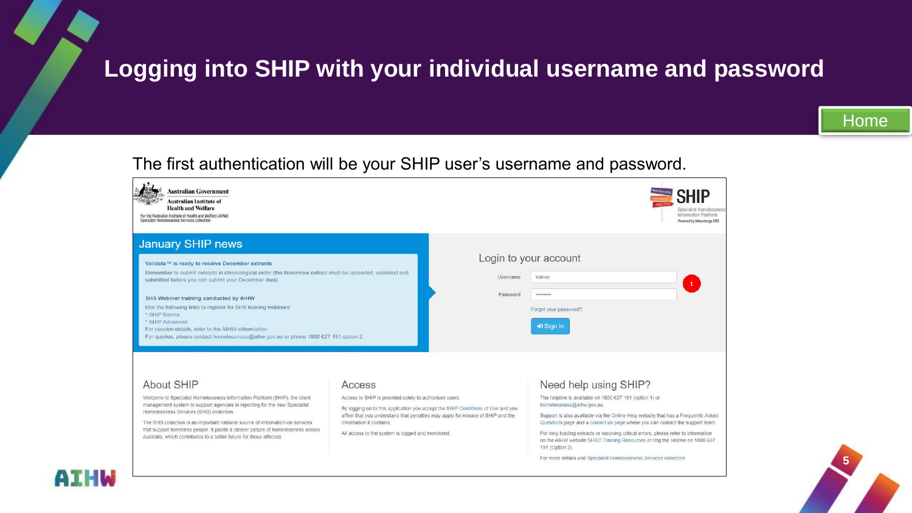#### <span id="page-4-0"></span>**Logging into SHIP with your individual username and password**

#### The first authentication will be your SHIP user's username and password.



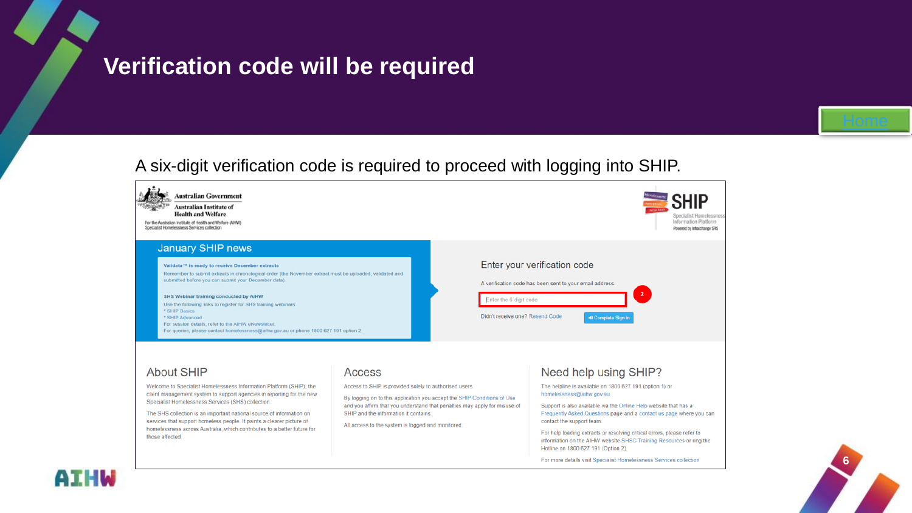#### <span id="page-5-0"></span>**Verification code will be required**

#### A six-digit verification code is required to proceed with logging into SHIP.





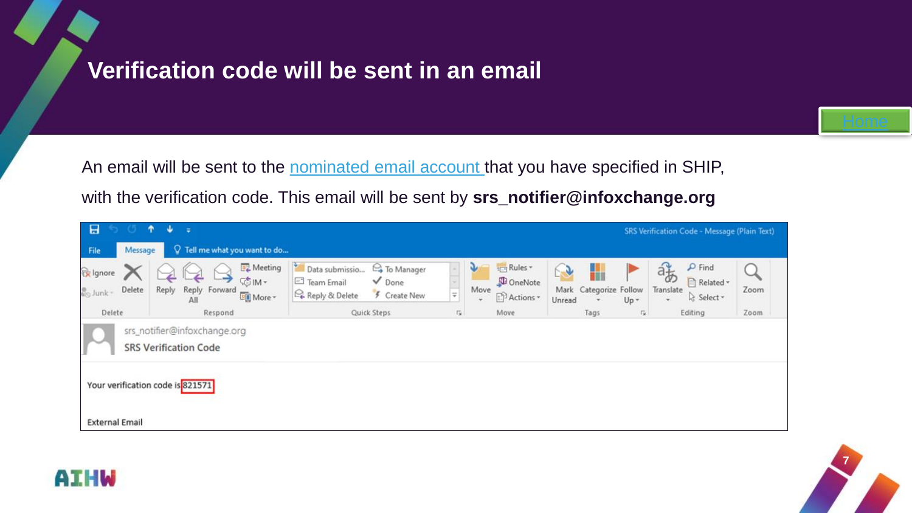#### <span id="page-6-0"></span>**Verification code will be sent in an email**



An email will be sent to the [nominated email account](#page-10-0) that you have specified in SHIP, with the verification code. This email will be sent by **srs\_notifier@infoxchange.org**





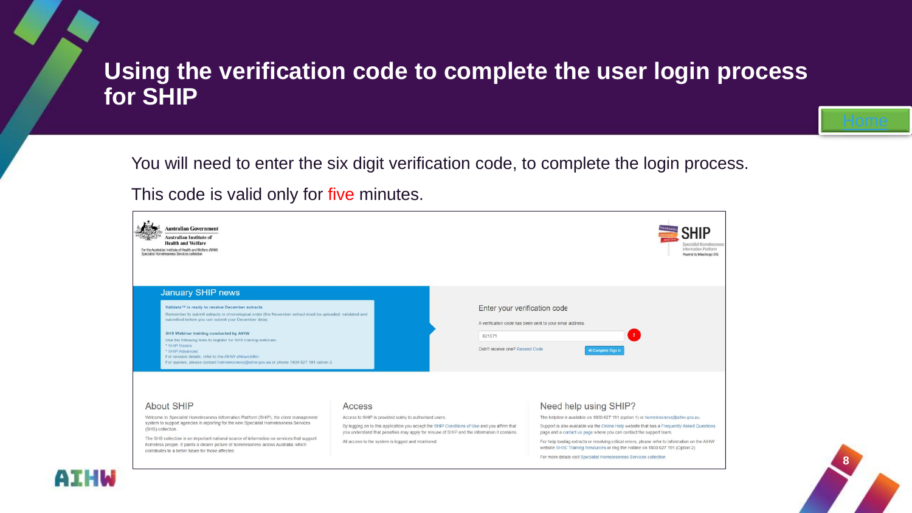#### <span id="page-7-0"></span>**Using the verification code to complete the user login process for SHIP**

You will need to enter the six digit verification code, to complete the login process.

This code is valid only for five minutes.



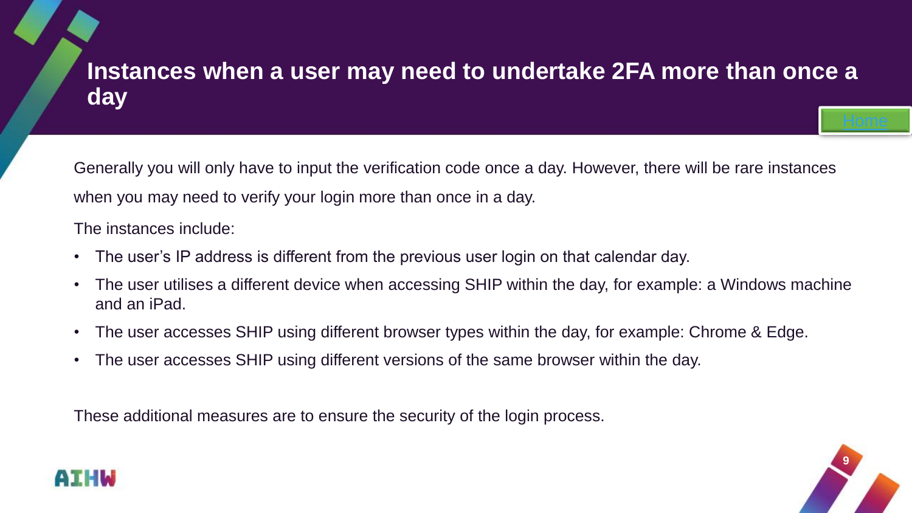## <span id="page-8-0"></span>**Instances when a user may need to undertake 2FA more than once a day**

Generally you will only have to input the verification code once a day. However, there will be rare instances when you may need to verify your login more than once in a day.

The instances include:

- The user's IP address is different from the previous user login on that calendar day.
- The user utilises a different device when accessing SHIP within the day, for example: a Windows machine and an iPad.
- The user accesses SHIP using different browser types within the day, for example: Chrome & Edge.
- The user accesses SHIP using different versions of the same browser within the day.

These additional measures are to ensure the security of the login process.



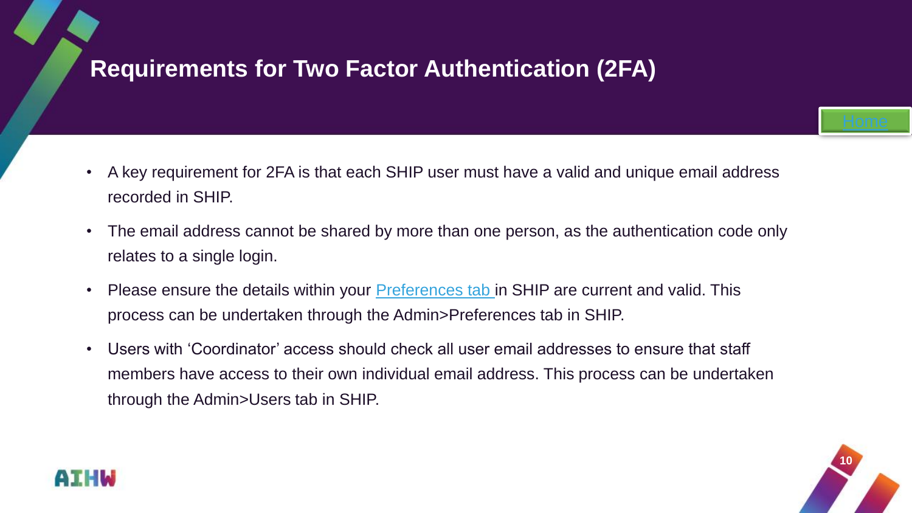## <span id="page-9-0"></span>**Requirements for Two Factor Authentication (2FA)**

- A key requirement for 2FA is that each SHIP user must have a valid and unique email address recorded in SHIP.
- The email address cannot be shared by more than one person, as the authentication code only relates to a single login.
- Please ensure the details within your **Preferences tab** in SHIP are current and valid. This process can be undertaken through the Admin>Preferences tab in SHIP.
- Users with 'Coordinator' access should check all user email addresses to ensure that staff members have access to their own individual email address. This process can be undertaken through the Admin>Users tab in SHIP.



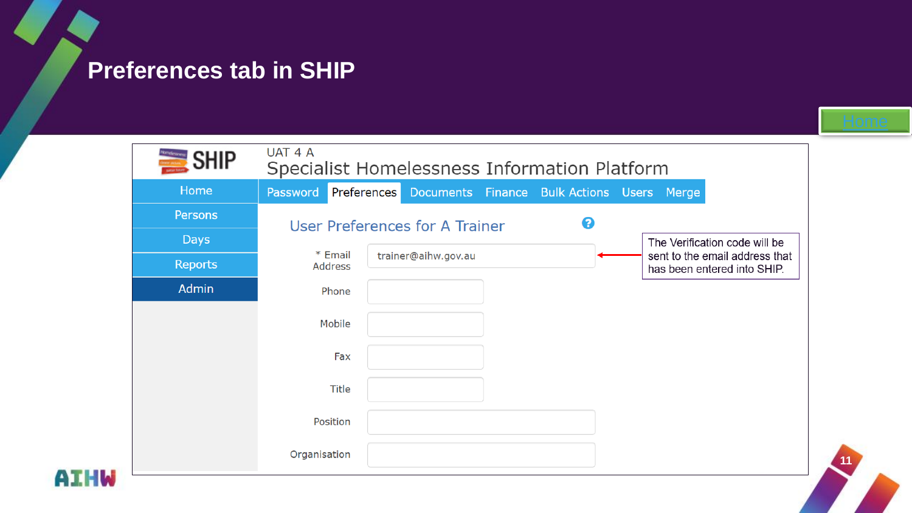### <span id="page-10-0"></span>**Preferences tab in SHIP**

**AIHW** 

| $\equiv$ SHIP  | UAT 4 A<br>Specialist Homelessness Information Platform |                     |  |   |                                            |                                                               |
|----------------|---------------------------------------------------------|---------------------|--|---|--------------------------------------------|---------------------------------------------------------------|
| Home           | Password                                                | Preferences         |  |   | Documents Finance Bulk Actions Users Merge |                                                               |
| Persons        |                                                         |                     |  | 0 |                                            |                                                               |
| <b>Days</b>    | User Preferences for A Trainer                          |                     |  |   |                                            | The Verification code will be                                 |
| <b>Reports</b> | * Email<br>Address                                      | trainer@aihw.gov.au |  |   |                                            | sent to the email address that<br>has been entered into SHIP. |
| <b>Admin</b>   | Phone                                                   |                     |  |   |                                            |                                                               |
|                | Mobile                                                  |                     |  |   |                                            |                                                               |
|                | Fax                                                     |                     |  |   |                                            |                                                               |
|                | Title                                                   |                     |  |   |                                            |                                                               |
|                | Position                                                |                     |  |   |                                            |                                                               |
|                | Organisation                                            |                     |  |   |                                            |                                                               |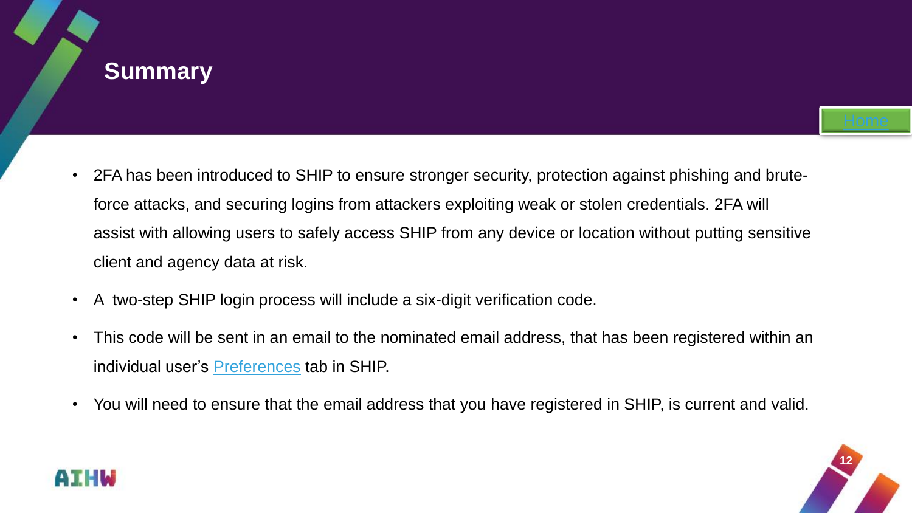#### <span id="page-11-0"></span>**Summary**

- 2FA has been introduced to SHIP to ensure stronger security, protection against phishing and bruteforce attacks, and securing logins from attackers exploiting weak or stolen credentials. 2FA will assist with allowing users to safely access SHIP from any device or location without putting sensitive client and agency data at risk.
- A two-step SHIP login process will include a six-digit verification code.
- This code will be sent in an email to the nominated email address, that has been registered within an individual user's **[Preferences](#page-10-0)** tab in SHIP.
- You will need to ensure that the email address that you have registered in SHIP, is current and valid.